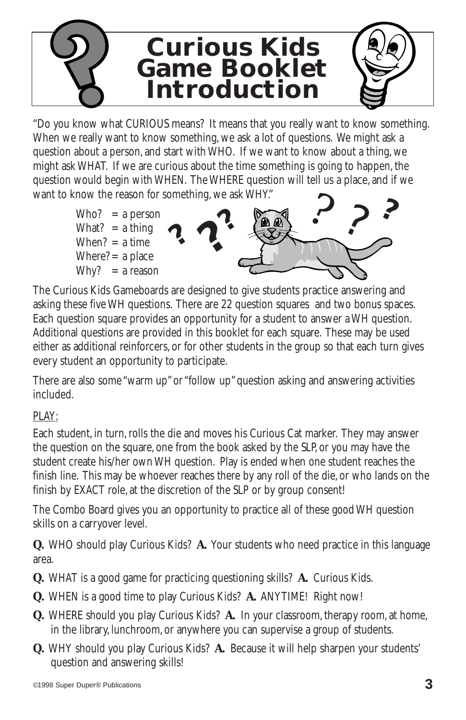

"Do you know what CURIOUS means? It means that you really want to know something. When we really want to know something, we ask a lot of questions. We might ask a question about a person, and start with WHO. If we want to know about a thing, we might ask WHAT. If we are curious about the time something is going to happen, the question would begin with WHEN. The WHERE question will tell us a place, and if we want to know the reason for something, we ask WHY."



The Curious Kids Gameboards are designed to give students practice answering and asking these five WH questions. There are 22 question squares and two bonus spaces. Each question square provides an opportunity for a student to answer a WH question. Additional questions are provided in this booklet for each square. These may be used either as additional reinforcers, or for other students in the group so that each turn gives every student an opportunity to participate.

There are also some "warm up" or "follow up" question asking and answering activities included.

## PLAY:

Each student, in turn, rolls the die and moves his Curious Cat marker. They may answer the question on the square, one from the book asked by the SLP, or you may have the student create his/her own WH question. Play is ended when one student reaches the finish line. This may be whoever reaches there by any roll of the die, or who lands on the finish by EXACT role, at the discretion of the SLP or by group consent!

The Combo Board gives you an opportunity to practice all of these good WH question skills on a carryover level.

**Q.** WHO should play Curious Kids? **A.** Your students who need practice in this language area.

- **Q.** WHAT is a good game for practicing questioning skills? **A.** Curious Kids.
- **Q.** WHEN is a good time to play Curious Kids? **A.** ANYTIME! Right now!
- **Q.** WHERE should you play Curious Kids? **A.** In your classroom, therapy room, at home, in the library, lunchroom, or anywhere you can supervise a group of students.
- **Q.** WHY should you play Curious Kids? **A.** Because it will help sharpen your students' question and answering skills!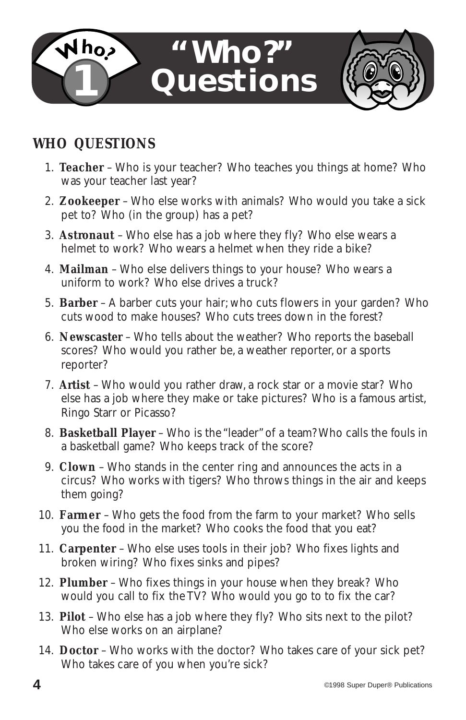

## **WHO QUESTIONS**

- 1. **Teacher**  Who is your teacher? Who teaches you things at home? Who was your teacher last year?
- 2. **Zookeeper**  Who else works with animals? Who would you take a sick pet to? Who (in the group) has a pet?
- 3. **Astronaut**  Who else has a job where they fly? Who else wears a helmet to work? Who wears a helmet when they ride a bike?
- 4. **Mailman**  Who else delivers things to your house? Who wears a uniform to work? Who else drives a truck?
- 5. **Barber**  A barber cuts your hair; who cuts flowers in your garden? Who cuts wood to make houses? Who cuts trees down in the forest?
- 6. **Newscaster**  Who tells about the weather? Who reports the baseball scores? Who would you rather be, a weather reporter, or a sports reporter?
- 7. **Artist**  Who would you rather draw, a rock star or a movie star? Who else has a job where they make or take pictures? Who is a famous artist, Ringo Starr or Picasso?
- 8. **Basketball Player** Who is the "leader" of a team? Who calls the fouls in a basketball game? Who keeps track of the score?
- 9. **Clown**  Who stands in the center ring and announces the acts in a circus? Who works with tigers? Who throws things in the air and keeps them going?
- 10. **Farmer**  Who gets the food from the farm to your market? Who sells you the food in the market? Who cooks the food that you eat?
- 11. **Carpenter**  Who else uses tools in their job? Who fixes lights and broken wiring? Who fixes sinks and pipes?
- 12. **Plumber**  Who fixes things in your house when they break? Who would you call to fix the TV? Who would you go to to fix the car?
- 13. **Pilot**  Who else has a job where they fly? Who sits next to the pilot? Who else works on an airplane?
- 14. **Doctor**  Who works with the doctor? Who takes care of your sick pet? Who takes care of you when you're sick?